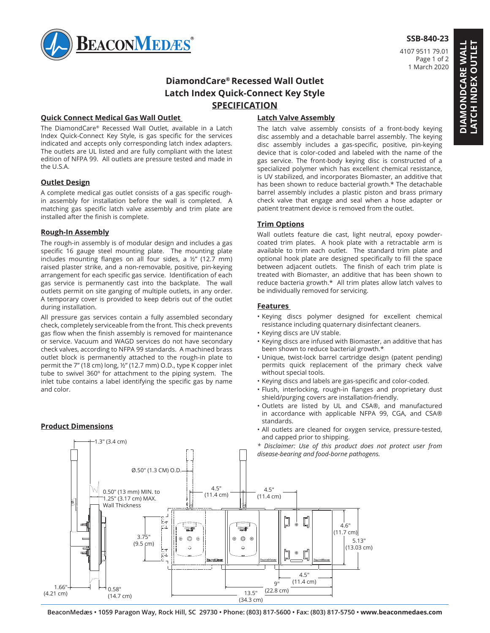

# **SSB-840-23**

4107 9511 79.01 Page 1 of 2 1 March 2020

# **DiamondCare® Recessed Wall Outlet Latch Index Quick-Connect Key Style SPECIFICATION**

## **Quick Connect Medical Gas Wall Outlet**

The DiamondCare® Recessed Wall Outlet, available in a Latch Index Quick-Connect Key Style, is gas specific for the services indicated and accepts only corresponding latch index adapters. The outlets are UL listed and are fully compliant with the latest edition of NFPA 99. All outlets are pressure tested and made in the U.S.A.

### **Outlet Design**

A complete medical gas outlet consists of a gas specific roughin assembly for installation before the wall is completed. A matching gas specific latch valve assembly and trim plate are installed after the finish is complete.

## **Rough-In Assembly**

The rough-in assembly is of modular design and includes a gas specific 16 gauge steel mounting plate. The mounting plate includes mounting flanges on all four sides, a ½" (12.7 mm) raised plaster strike, and a non-removable, positive, pin-keying arrangement for each specific gas service. Identification of each gas service is permanently cast into the backplate. The wall outlets permit on site ganging of multiple outlets, in any order. A temporary cover is provided to keep debris out of the outlet during installation.

All pressure gas services contain a fully assembled secondary check, completely serviceable from the front. This check prevents gas flow when the finish assembly is removed for maintenance or service. Vacuum and WAGD services do not have secondary check valves, according to NFPA 99 standards. A machined brass outlet block is permanently attached to the rough-in plate to permit the 7" (18 cm) long, ½" (12.7 mm) O.D., type K copper inlet tube to swivel 360º for attachment to the piping system. The inlet tube contains a label identifying the specific gas by name and color.

and the second second second second second second second second second second second second second second second

# **Product Dimensions**

1.3" (3.4 cm)

# **Latch Valve Assembly**

The latch valve assembly consists of a front-body keying disc assembly and a detachable barrel assembly. The keying disc assembly includes a gas-specific, positive, pin-keying device that is color-coded and labeled with the name of the gas service. The front-body keying disc is constructed of a specialized polymer which has excellent chemical resistance, is UV stabilized, and incorporates Biomaster, an additive that has been shown to reduce bacterial growth.\* The detachable barrel assembly includes a plastic piston and brass primary check valve that engage and seal when a hose adapter or patient treatment device is removed from the outlet.

# **Trim Options**

Wall outlets feature die cast, light neutral, epoxy powdercoated trim plates. A hook plate with a retractable arm is available to trim each outlet. The standard trim plate and optional hook plate are designed specifically to fill the space between adjacent outlets. The finish of each trim plate is treated with Biomaster, an additive that has been shown to reduce bacteria growth.\* All trim plates allow latch valves to be individually removed for servicing.

### **Features**

- Keying discs polymer designed for excellent chemical resistance including quaternary disinfectant cleaners.
- Keying discs are UV stable.
- Keying discs are infused with Biomaster, an additive that has been shown to reduce bacterial growth.\*
- Unique, twist-lock barrel cartridge design (patent pending) permits quick replacement of the primary check valve without special tools.
- Keying discs and labels are gas-specific and color-coded.
- Flush, interlocking, rough-in flanges and proprietary dust shield/purging covers are installation-friendly.
- 1 2 Outlets are listed by UL and CSA®, and manufactured in accordance with applicable NFPA 99, CGA, and CSA® standards.
- **Frouder Differential Contract and Service** All outlets are cleaned for oxygen service, pressure-tested, and capped prior to shipping.
	- *\* Disclaimer: Use of this product does not protect user from disease-bearing and food-borne pathogens.*



**BeaconMedæs • 1059 Paragon Way, Rock Hill, SC 29730 • Phone: (803) 817-5600 • Fax: (803) 817-5750 • www.beaconmedaes.com**